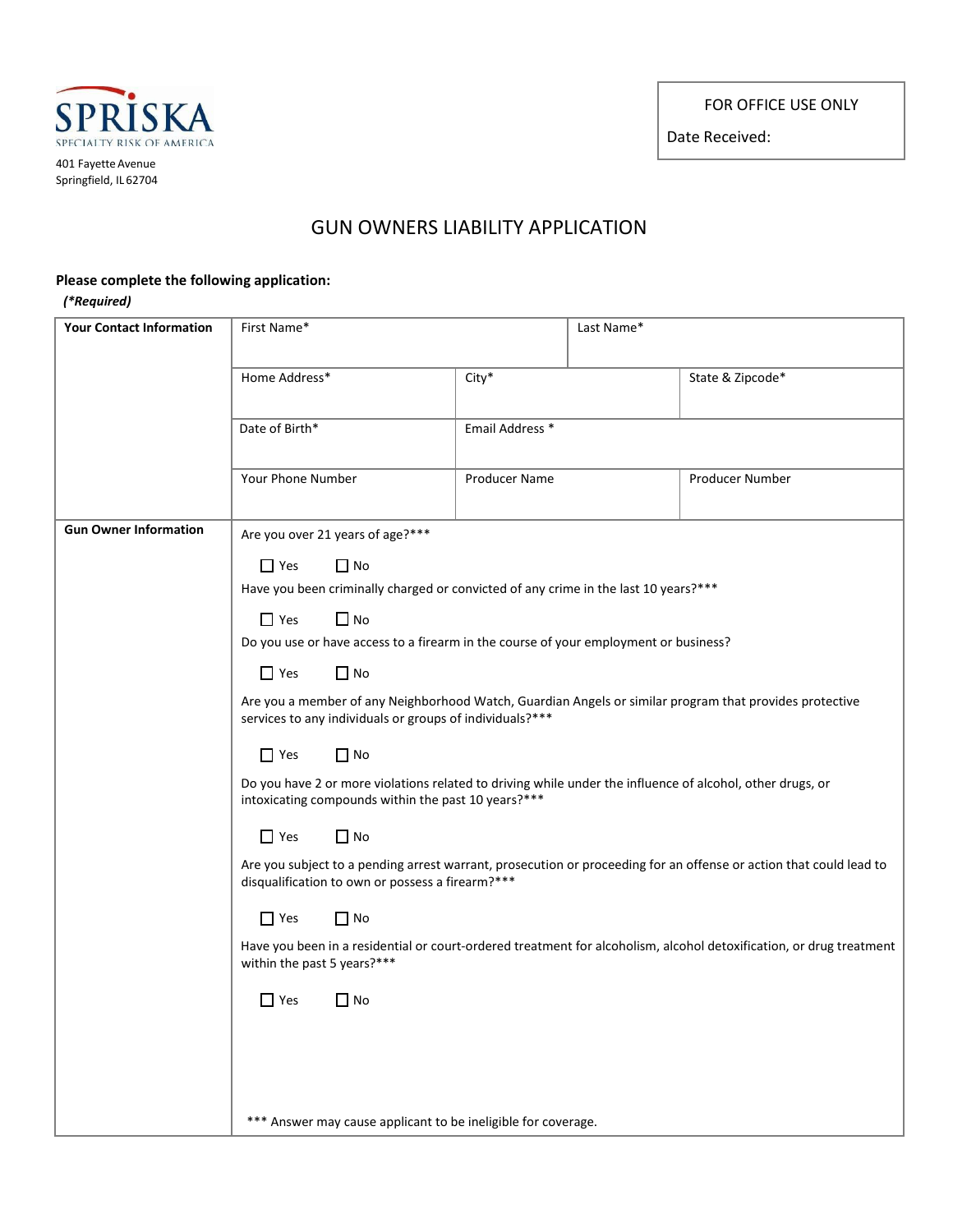FOR OFFICE USE ONLY

Date Received:



## GUN OWNERS LIABILITY APPLICATION

## **Please complete the following application:**

## *(\*Required)*

| <b>Your Contact Information</b> | First Name*                                                                                                                                                                                                                       |                 | Last Name* |                  |  |
|---------------------------------|-----------------------------------------------------------------------------------------------------------------------------------------------------------------------------------------------------------------------------------|-----------------|------------|------------------|--|
|                                 | Home Address*                                                                                                                                                                                                                     | City*           |            | State & Zipcode* |  |
|                                 | Date of Birth*                                                                                                                                                                                                                    | Email Address * |            |                  |  |
|                                 | Your Phone Number                                                                                                                                                                                                                 | Producer Name   |            | Producer Number  |  |
| <b>Gun Owner Information</b>    | Are you over 21 years of age?***                                                                                                                                                                                                  |                 |            |                  |  |
|                                 | $\Box$ Yes<br>$\Box$ No<br>Have you been criminally charged or convicted of any crime in the last 10 years?***<br>$\Box$ No<br>$\Box$ Yes<br>Do you use or have access to a firearm in the course of your employment or business? |                 |            |                  |  |
|                                 |                                                                                                                                                                                                                                   |                 |            |                  |  |
|                                 | $\Box$ Yes<br>$\Box$ No                                                                                                                                                                                                           |                 |            |                  |  |
|                                 | Are you a member of any Neighborhood Watch, Guardian Angels or similar program that provides protective<br>services to any individuals or groups of individuals?***                                                               |                 |            |                  |  |
|                                 | $\Box$ No<br>$\Box$ Yes                                                                                                                                                                                                           |                 |            |                  |  |
|                                 | Do you have 2 or more violations related to driving while under the influence of alcohol, other drugs, or<br>intoxicating compounds within the past 10 years?***                                                                  |                 |            |                  |  |
|                                 | $\Box$ No<br>$\Box$ Yes                                                                                                                                                                                                           |                 |            |                  |  |
|                                 | Are you subject to a pending arrest warrant, prosecution or proceeding for an offense or action that could lead to<br>disqualification to own or possess a firearm?***<br>$\Box$ Yes<br>$\Box$ No                                 |                 |            |                  |  |
|                                 |                                                                                                                                                                                                                                   |                 |            |                  |  |
|                                 | Have you been in a residential or court-ordered treatment for alcoholism, alcohol detoxification, or drug treatment<br>within the past 5 years?***                                                                                |                 |            |                  |  |
|                                 | $\Box$ Yes<br>$\Box$ No                                                                                                                                                                                                           |                 |            |                  |  |
|                                 |                                                                                                                                                                                                                                   |                 |            |                  |  |
|                                 |                                                                                                                                                                                                                                   |                 |            |                  |  |
|                                 | *** Answer may cause applicant to be ineligible for coverage.                                                                                                                                                                     |                 |            |                  |  |